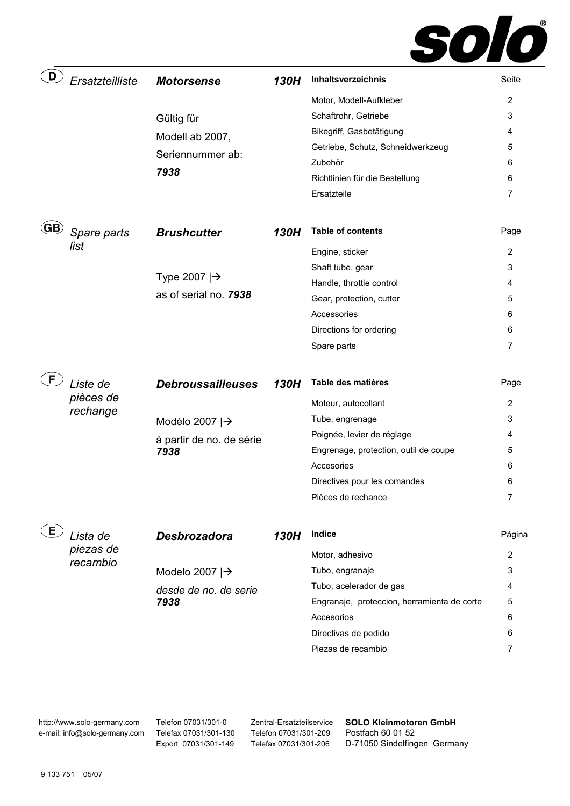

| D         | Ersatzteilliste | <b>Motorsense</b>                | 130H | Inhaltsverzeichnis                          | Seite  |
|-----------|-----------------|----------------------------------|------|---------------------------------------------|--------|
|           |                 |                                  |      | Motor, Modell-Aufkleber                     | 2      |
|           |                 | Gültig für                       |      | Schaftrohr, Getriebe                        | 3      |
|           |                 | Modell ab 2007,                  |      | Bikegriff, Gasbetätigung                    | 4      |
|           |                 | Seriennummer ab:                 |      | Getriebe, Schutz, Schneidwerkzeug           | 5      |
|           |                 |                                  |      | Zubehör                                     | 6      |
|           |                 | 7938                             |      | Richtlinien für die Bestellung              | 6      |
|           |                 |                                  |      | Ersatzteile                                 | 7      |
| <b>GB</b> | Spare parts     | <b>Brushcutter</b>               | 130H | <b>Table of contents</b>                    | Page   |
|           | list            |                                  |      | Engine, sticker                             | 2      |
|           |                 |                                  |      | Shaft tube, gear                            | 3      |
|           |                 | Type 2007 $\rightarrow$          |      | Handle, throttle control                    | 4      |
|           |                 | as of serial no. 7938            |      | Gear, protection, cutter                    | 5      |
|           |                 |                                  |      | Accessories                                 | 6      |
|           |                 |                                  |      | Directions for ordering                     | 6      |
|           |                 |                                  |      | Spare parts                                 | 7      |
| F.        | Liste de        | <b>Debroussailleuses</b>         | 130H | Table des matières                          | Page   |
|           | pièces de       |                                  |      | Moteur, autocollant                         | 2      |
|           |                 |                                  |      |                                             |        |
|           | rechange        |                                  |      | Tube, engrenage                             | 3      |
|           |                 | Modélo 2007 $\rightarrow$        |      | Poignée, levier de réglage                  | 4      |
|           |                 | à partir de no. de série<br>7938 |      | Engrenage, protection, outil de coupe       | 5      |
|           |                 |                                  |      | Accesories                                  | 6      |
|           |                 |                                  |      | Directives pour les comandes                | 6      |
|           |                 |                                  |      | Pièces de rechance                          |        |
| E         | Lista de        | Desbrozadora                     | 130H | Indice                                      | Página |
|           | piezas de       |                                  |      |                                             | 2      |
|           | recambio        |                                  |      | Motor, adhesivo<br>Tubo, engranaje          | 3      |
|           |                 | Modelo 2007 $\rightarrow$        |      | Tubo, acelerador de gas                     | 4      |
|           |                 | desde de no. de serie<br>7938    |      | Engranaje, proteccion, herramienta de corte | 5      |
|           |                 |                                  |      | Accesorios                                  | 6      |
|           |                 |                                  |      | Directivas de pedido                        | 6      |
|           |                 |                                  |      | Piezas de recambio                          | 7      |

http://www.solo-germany.com e-mail: info@solo-germany.com Telefon 07031/301-0 Telefax 07031/301-130 Export 07031/301-149

Zentral-Ersatzteilservice Telefon 07031/301-209 Telefax 07031/301-206

**SOLO Kleinmotoren GmbH**  Postfach 60 01 52 D-71050 Sindelfingen Germany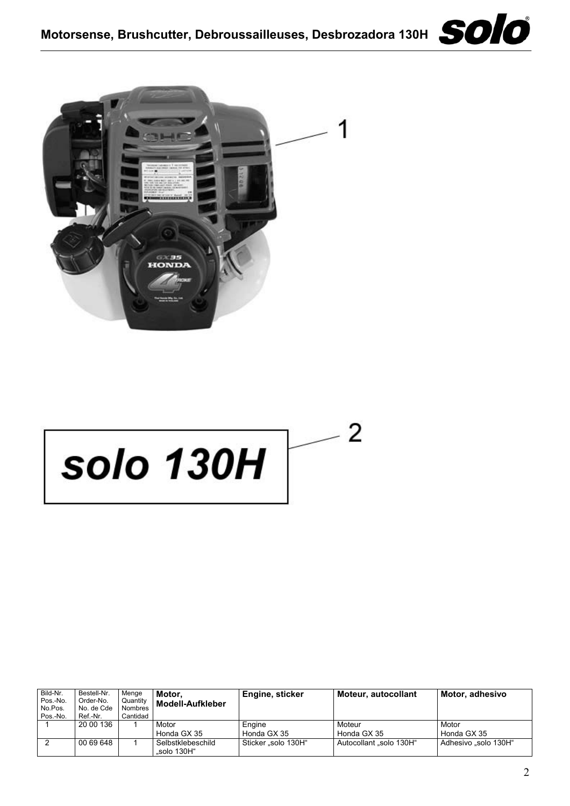





# $\overline{2}$ **solo 130H**

| Bild-Nr.<br>Pos.-No.<br>No.Pos.<br>Pos.-No. | Bestell-Nr.<br>Order-No.<br>No. de Cde<br>Ref.-Nr. | Menae<br>Quantity<br><b>Nombres</b><br>Cantidad | Motor.<br>Modell-Aufkleber       | Engine, sticker     | Moteur, autocollant   | Motor, adhesivo      |
|---------------------------------------------|----------------------------------------------------|-------------------------------------------------|----------------------------------|---------------------|-----------------------|----------------------|
|                                             | 20 00 136                                          |                                                 | Motor                            | Engine              | Moteur                | Motor                |
|                                             |                                                    |                                                 | Honda GX 35                      | Honda GX 35         | Honda GX 35           | Honda GX 35          |
|                                             | 00 69 648                                          |                                                 | Selbstklebeschild<br>"solo 130H" | Sticker "solo 130H" | Autocollant solo 130H | Adhesivo "solo 130H" |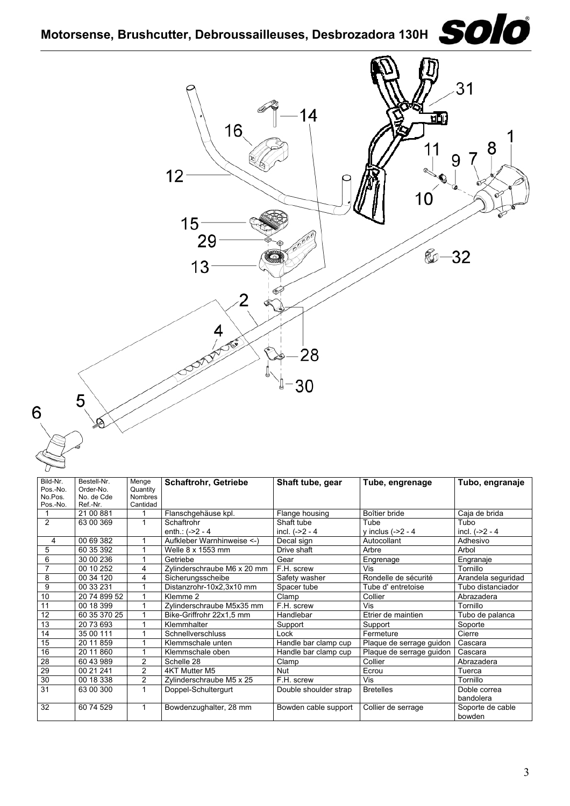



| Bild-Nr.       | Bestell-Nr.           | Menge                    | <b>Schaftrohr, Getriebe</b> | Shaft tube, gear      | Tube, engrenage          | Tubo, engranaje    |
|----------------|-----------------------|--------------------------|-----------------------------|-----------------------|--------------------------|--------------------|
| Pos.-No.       | Order-No.             | Quantity                 |                             |                       |                          |                    |
| No.Pos.        | No. de Cde            | <b>Nombres</b>           |                             |                       |                          |                    |
| Pos.-No.       | Ref.-Nr.<br>21 00 881 | Cantidad<br>$\mathbf{1}$ |                             |                       | Boîtier bride            | Caja de brida      |
|                |                       |                          | Flanschgehäuse kpl.         | Flange housing        |                          |                    |
| $\overline{2}$ | 63 00 369             | $\mathbf{1}$             | Schaftrohr                  | Shaft tube            | Tube                     | Tubo               |
|                |                       |                          | enth.: $(-2 - 4)$           | incl. $(-22 - 4)$     | y inclus $(-2 - 4)$      | incl. $(-2 - 4)$   |
| $\overline{4}$ | 00 69 382             |                          | Aufkleber Warnhinweise <- ) | Decal sign            | Autocollant              | Adhesivo           |
| 5              | 60 35 392             | 1                        | Welle 8 x 1553 mm           | Drive shaft           | Arbre                    | Arbol              |
| 6              | 30 00 236             | 1                        | Getriebe                    | Gear                  | Engrenage                | Engranaje          |
| $\overline{7}$ | 00 10 252             | 4                        | Zvlinderschraube M6 x 20 mm | F.H. screw            | <b>Vis</b>               | Tornillo           |
| 8              | 00 34 120             | 4                        | Sicherungsscheibe           | Safety washer         | Rondelle de sécurité     | Arandela seguridad |
| 9              | 00 33 231             | 1                        | Distanzrohr-10x2,3x10 mm    | Spacer tube           | Tube d'entretoise        | Tubo distanciador  |
| 10             | 20 74 899 52          | 1                        | Klemme 2                    | Clamp                 | Collier                  | Abrazadera         |
| 11             | 00 18 399             | 1                        | Zylinderschraube M5x35 mm   | F.H. screw            | Vis                      | Tornillo           |
| 12             | 60 35 370 25          | 1                        | Bike-Griffrohr 22x1.5 mm    | Handlebar             | Etrier de maintien       | Tubo de palanca    |
| 13             | 20 73 693             | 1                        | Klemmhalter                 | Support               | Support                  | Soporte            |
| 14             | 35 00 111             | 1                        | Schnellverschluss           | Lock                  | Fermeture                | Cierre             |
| 15             | 20 11 859             | 1                        | Klemmschale unten           | Handle bar clamp cup  | Plaque de serrage guidon | Cascara            |
| 16             | 20 11 860             | 1                        | Klemmschale oben            | Handle bar clamp cup  | Plaque de serrage guidon | Cascara            |
| 28             | 60 43 989             | $\overline{2}$           | Schelle 28                  | Clamp                 | Collier                  | Abrazadera         |
| 29             | 00 21 241             | 2                        | 4KT Mutter M5               | Nut                   | Ecrou                    | Tuerca             |
| 30             | 00 18 338             | $\overline{\mathbf{c}}$  | Zylinderschraube M5 x 25    | F.H. screw            | Vis                      | Tornillo           |
| 31             | 63 00 300             | 1                        | Doppel-Schultergurt         | Double shoulder strap | <b>Bretelles</b>         | Doble correa       |
|                |                       |                          |                             |                       |                          | bandolera          |
| 32             | 60 74 529             | 1                        | Bowdenzughalter, 28 mm      | Bowden cable support  | Collier de serrage       | Soporte de cable   |
|                |                       |                          |                             |                       |                          | bowden             |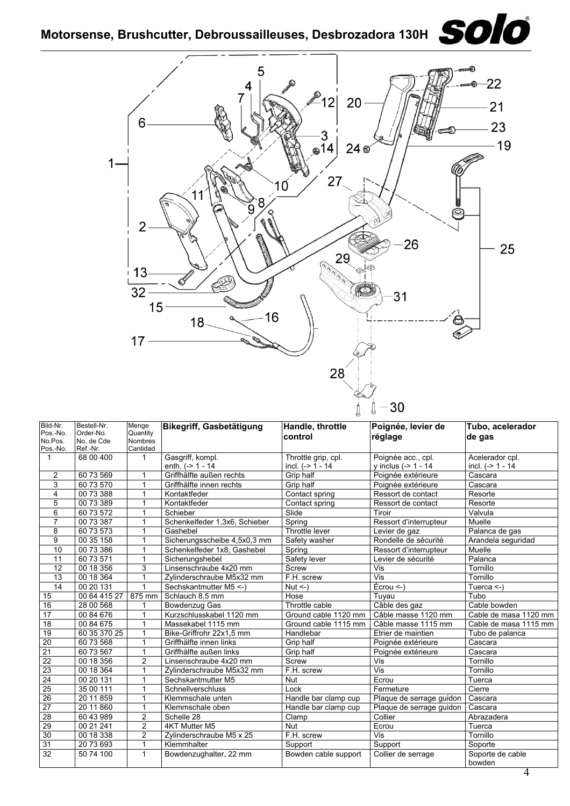

| Bild-Nr.                | Bestell-Nr.  | Menge          | Bikegriff, Gasbetätigung      | Handle, throttle     | Poignée, levier de        | Tubo, acelerador           |
|-------------------------|--------------|----------------|-------------------------------|----------------------|---------------------------|----------------------------|
| Pos.-No.                | Order-No.    | Quantity       |                               |                      |                           |                            |
| No.Pos.                 | No. de Cde   | <b>Nombres</b> |                               | control              | réglage                   | de gas                     |
| Pos.-No.                | Ref.-Nr.     | Cantidad       |                               |                      |                           |                            |
| $\mathbf{1}$            | 68 00 400    | 1              | Gasgriff, kompl.              | Throttle grip, cpl.  | Poignée acc., cpl.        | Acelerador cpl.            |
|                         |              |                | enth. $(-2)$ 1 - 14           | incl. $(-> 1 - 14)$  | y inclus (-> 1 - 14       | incl. $(-> 1 - 14)$        |
| 2                       | 60 73 569    | 1              | Griffhälfte außen rechts      | Grip half            | Poignée extérieure        | Cascara                    |
| 3                       | 60 73 570    | 1              | Griffhälfte innen rechts      | Grip half            | Poignée extérieure        | Cascara                    |
| $\overline{\mathbf{4}}$ | 00 73 388    | 1              | Kontaktfeder                  | Contact spring       | Ressort de contact        | Resorte                    |
| 5                       | 00 73 389    | 1              | Kontaktfeder                  | Contact spring       | Ressort de contact        | Resorte                    |
| $\overline{6}$          | 60 73 572    | 1              | Schieber                      | Slide                | Tiroir                    | Valvula                    |
| $\overline{7}$          | 00 73 387    |                | Schenkelfeder 1,3x6, Schieber | Spring               | Ressort d'interrupteur    | Muelle                     |
| 8                       | 60 73 573    | 1              | Gashebel                      | Throttle lever       | Levier de gaz             | Palanca de gas             |
| 9                       | 00 35 158    | 1              | Sicherungsscheibe 4,5x0,3 mm  | Safety washer        | Rondelle de sécurité      | Arandela seguridad         |
| 10                      | 00 73 386    | 1              | Schenkelfeder 1x8, Gashebel   | Spring               | Ressort d'interrupteur    | Muelle                     |
| 11                      | 60 73 571    | 1              | Sicherungshebel               | Safety lever         | Levier de sécurité        | Palanca                    |
| 12                      | 00 18 356    | 3              | Linsenschraube 4x20 mm        | Screw                | Vis                       | Tornillo                   |
| 13                      | 00 18 364    | 1              | Zvlinderschraube M5x32 mm     | F.H. screw           | Vis                       | Tornillo                   |
| $\overline{14}$         | 00 20 131    |                | Sechskantmutter M5 <- )       | $Nut < -$ )          | $Écrou < -$               | Tuerca $\le$ -)            |
| 15                      | 00 64 415 27 | 875 mm         | Schlauch 8.5 mm               | Hose                 | Tuvau                     | Tubo                       |
| 16                      | 28 00 568    | 1              | Bowdenzug Gas                 | Throttle cable       | Câble des gaz             | Cable bowden               |
| 17                      | 00 84 676    | 1              | Kurzschlusskabel 1120 mm      | Ground cable 1120 mm | Câble masse 1120 mm       | Cable de masa 1120 mm      |
| $\overline{18}$         | 00 84 675    | 1              | Massekabel 1115 mm            | Ground cable 1115 mm | Câble masse 1115 mm       | Cable de masa 1115 mm      |
| 19                      | 60 35 370 25 | 1              | Bike-Griffrohr 22x1,5 mm      | Handlebar            | Etrier de maintien        | Tubo de palanca            |
| $\overline{20}$         | 60 73 568    | $\mathbf 1$    | Griffhälfte innen links       | Grip half            | Poignée extérieure        | Cascara                    |
| $\overline{21}$         | 60 73 567    | $\mathbf 1$    | Griffhälfte außen links       | Grip half            | Poignée extérieure        | Cascara                    |
| $\overline{22}$         | 00 18 356    | $\overline{2}$ | Linsenschraube 4x20 mm        | Screw                | Vis                       | Tornillo                   |
| 23                      | 00 18 364    | 1              | Zylinderschraube M5x32 mm     | F.H. screw           | $\overline{\mathsf{Vis}}$ | Tornillo                   |
| 24                      | 00 20 131    | $\mathbf{1}$   | Sechskantmutter M5            | Nut                  | Ecrou                     | Tuerca                     |
| $\overline{25}$         | 35 00 111    | 1              | Schnellverschluss             | Lock                 | Fermeture                 | Cierre                     |
| 26                      | 20 11 859    | $\mathbf 1$    | Klemmschale unten             | Handle bar clamp cup | Plaque de serrage guidon  | Cascara                    |
| $\overline{27}$         | 20 11 860    | $\mathbf{1}$   | Klemmschale oben              | Handle bar clamp cup | Plaque de serrage guidon  | Cascara                    |
| 28                      | 60 43 989    | $\overline{2}$ | Schelle 28                    | Clamp                | Collier                   | Abrazadera                 |
| 29                      | 00 21 241    | $\overline{2}$ | 4KT Mutter M5                 | Nut                  | Ecrou                     | Tuerca                     |
| 30                      | 00 18 338    | $\overline{2}$ | Zylinderschraube M5 x 25      | F.H. screw           | $\overline{\mathsf{Vis}}$ | Tornillo                   |
| 31                      | 20 73 693    | $\mathbf{1}$   | Klemmhalter                   | Support              | Support                   | Soporte                    |
| 32                      | 50 74 100    | $\mathbf{1}$   | Bowdenzughalter, 22 mm        | Bowden cable support | Collier de serrage        | Soporte de cable<br>bowden |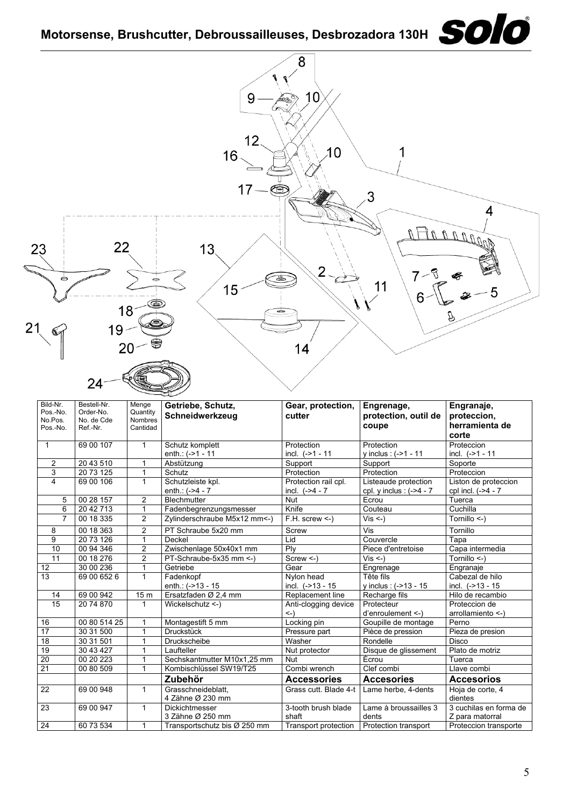

**Zubehör** Accessories Accessories Accesorios

3-tooth brush blade shaft<br>Transport protection

24 60 73 534 1 Transportschutz bis Ø 250 mm Transport protection Protection transport Proteccion transporte

Grass cutt. Blade 4-t Lame herbe, 4-dents Hoja de corte, 4

Lame à broussailles 3 dents<br>Protection transport

dientes

3 cuchilas en forma de Z para matorral

22 69 00 948 1 Grasschneideblatt,

23 69 00 947 1 Dickichtmesser

4 Zähne Ø 230 mm

3 Zähne Ø 250 mm

5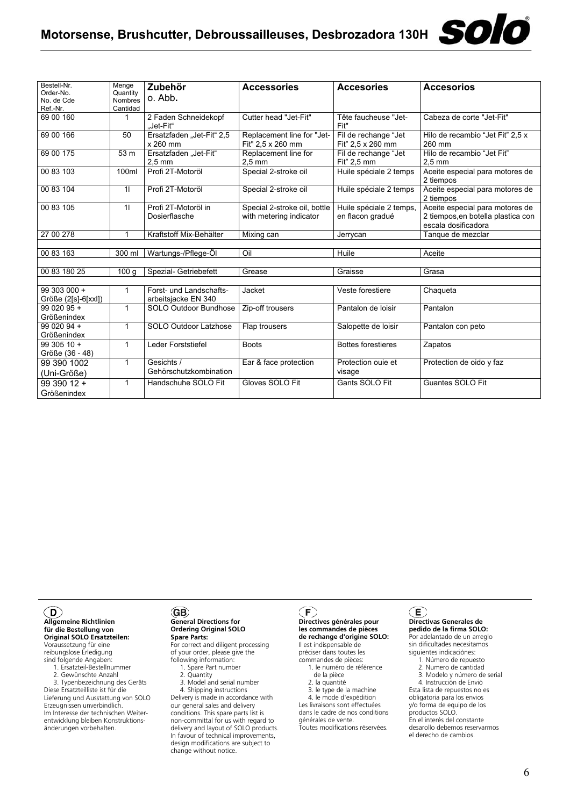| Bestell-Nr.<br>Order-No.<br>No. de Cde<br>Ref.-Nr. | Menge<br>Quantity<br><b>Nombres</b><br>Cantidad                             | Zubehör<br>o. Abb.                             | <b>Accessories</b>                                      | <b>Accesories</b>                            | <b>Accesorios</b>                                                                            |
|----------------------------------------------------|-----------------------------------------------------------------------------|------------------------------------------------|---------------------------------------------------------|----------------------------------------------|----------------------------------------------------------------------------------------------|
| 69 00 160                                          | 1                                                                           | 2 Faden Schneidekopf<br>.Jet-Fit"              | Cutter head "Jet-Fit"                                   | Tête faucheuse "Jet-<br>Fit"                 | Cabeza de corte "Jet-Fit"                                                                    |
| 69 00 166                                          | 50                                                                          | Ersatzfaden "Jet-Fit" 2,5<br>x 260 mm          | Replacement line for "Jet-<br>Fit" 2,5 x 260 mm         | Fil de rechange "Jet<br>Fit" 2,5 x 260 mm    | Hilo de recambio "Jet Fit" 2,5 x<br>260 mm                                                   |
| 69 00 175                                          | 53 m                                                                        | Ersatzfaden "Jet-Fit"<br>$2.5 \text{ mm}$      | Replacement line for<br>$2.5 \text{ mm}$                | Fil de rechange "Jet<br>Fit" 2.5 mm          | Hilo de recambio "Jet Fit"<br>$2.5 \text{ mm}$                                               |
| 00 83 103                                          | Profi 2T-Motoröl<br>Special 2-stroke oil<br>Huile spéciale 2 temps<br>100ml |                                                |                                                         | Aceite especial para motores de<br>2 tiempos |                                                                                              |
| 00 83 104                                          | 11                                                                          | Profi 2T-Motoröl                               | Special 2-stroke oil                                    | Huile spéciale 2 temps                       | Aceite especial para motores de<br>2 tiempos                                                 |
| 00 83 105                                          | 11                                                                          | Profi 2T-Motoröl in<br>Dosierflasche           | Special 2-stroke oil, bottle<br>with metering indicator | Huile spéciale 2 temps,<br>en flacon gradué  | Aceite especial para motores de<br>2 tiempos, en botella plastica con<br>escala dosificadora |
| 27 00 278                                          | 1                                                                           | Kraftstoff Mix-Behälter                        | Mixing can                                              | Jerrycan                                     | Tanque de mezclar                                                                            |
|                                                    |                                                                             |                                                |                                                         |                                              |                                                                                              |
| 00 83 163                                          | 300 ml                                                                      | Wartungs-/Pflege-Öl                            | Oil                                                     | Huile                                        | Aceite                                                                                       |
|                                                    |                                                                             |                                                |                                                         |                                              |                                                                                              |
| 00 83 180 25                                       | 100q                                                                        | Spezial- Getriebefett                          | Grease                                                  | Graisse                                      | Grasa                                                                                        |
| 99 303 000 +<br>$Größe (2[s]-6[xx])$               | $\mathbf{1}$                                                                | Forst- und Landschafts-<br>arbeitsjacke EN 340 | Jacket                                                  | Veste forestiere                             | Chaqueta                                                                                     |
| 99 020 95 +<br>Größenindex                         | $\mathbf{1}$                                                                | SOLO Outdoor Bundhose                          | Zip-off trousers                                        | Pantalon de loisir                           | Pantalon                                                                                     |
| 99 020 94 +<br>Größenindex                         | $\mathbf{1}$                                                                | SOLO Outdoor Latzhose                          | Flap trousers                                           | Salopette de loisir                          | Pantalon con peto                                                                            |
| $9930510 +$<br>Größe (36 - 48)                     | $\mathbf{1}$                                                                | Leder Forststiefel                             | <b>Boots</b>                                            | <b>Bottes forestieres</b>                    | Zapatos                                                                                      |
| 99 390 1002<br>(Uni-Größe)                         | $\mathbf{1}$                                                                | Gesichts /<br>Gehörschutzkombination           | Ear & face protection                                   | Protection ouie et<br>visage                 | Protection de oido y faz                                                                     |
| 99 390 12 +<br>Größenindex                         | $\mathbf{1}$                                                                | Handschuhe SOLO Fit                            | Gloves SOLO Fit                                         | Gants SOLO Fit                               | Guantes SOLO Fit                                                                             |

#### $\odot$

**Allgemeine Richtlinien für die Bestellung von Original SOLO Ersatzteilen:** Voraussetzung für eine reibungslose Erledigung sind folgende Angaben: 1. Ersatzteil-Bestellnummer

2. Gewünschte Anzahl

 3. Typenbezeichnung des Geräts Diese Ersatzteilliste ist für die Lieferung und Ausstattung von SOLO Erzeugnissen unverbindlich. Im Interesse der technischen Weiter-entwicklung bleiben Konstruktionsänderungen vorbehalten.

#### GB) **General Directions for Ordering Original SOLO**

**Spare Parts:** For correct and diligent processing of your order, please give the

- following information: 1. Spare Part number 2. Quantity
	- 3. Model and serial number 4. Shipping instructions

Delivery is made in accordance with our general sales and delivery conditions. This spare parts list is non-committal for us with regard to delivery and layout of SOLO products. In favour of technical improvements, design modifications are subject to change without notice.

**Directives générales pour les commandes de pièces de rechange d'origine SOLO:** Il est indispensable de préciser dans toutes les

commandes de pièces: 1. le numéro de référence

- de la pièce 2. la quantité
- 3. le type de la machine

4. le mode d'expédition

Les livraisons sont effectuées dans le cadre de nos conditions générales de vente. Toutes modifications réservées.

### **Directivas Generales de pedido de la firma SOLO:**

Por adelantado de un arreglo sin dificultades necesitamos siguientes indicaciónes:

solo

- 1. Número de repuesto 2. Numero de cantidad
- 3. Modelo y número de serial
- 4. Instrucción de Envió

Esta lista de repuestos no es obligatoria para los envios y/o forma de equipo de los productos SOLO. En el interés del constante desarollo debemos reservarmos el derecho de cambios.